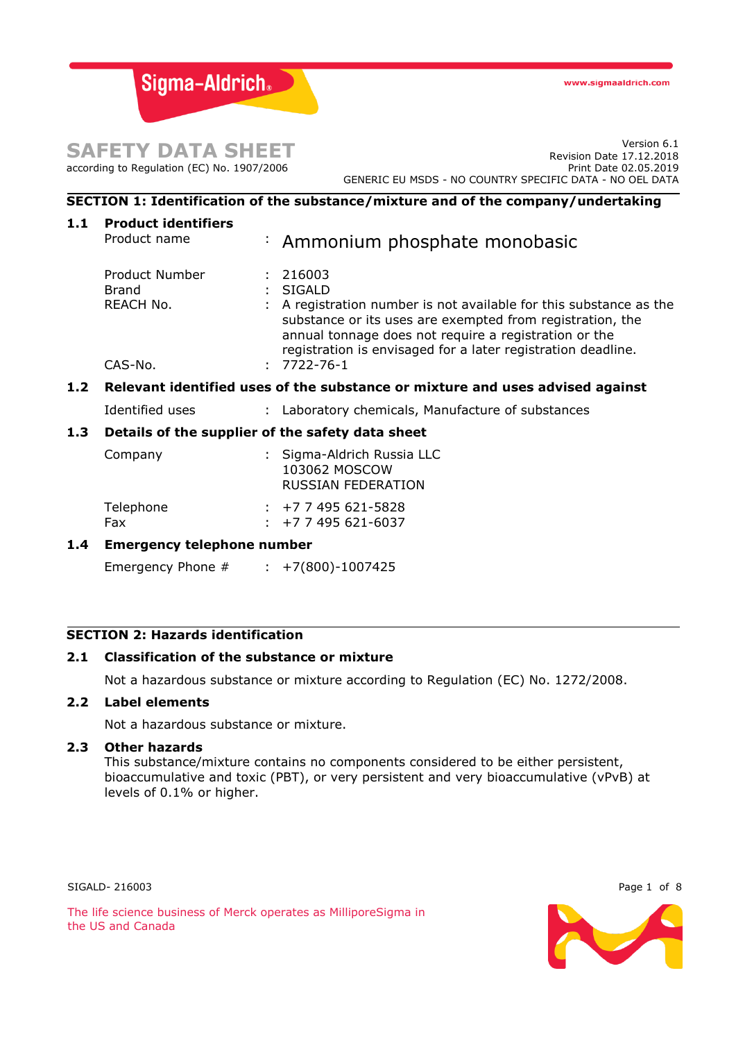Sigma-Aldrich.

# **SAFETY DATA SHEET** according to Regulation (EC) No. 1907/2006

Version 6.1 Revision Date 17.12.2018 Print Date 02.05.2019 GENERIC EU MSDS - NO COUNTRY SPECIFIC DATA - NO OEL DATA

# **SECTION 1: Identification of the substance/mixture and of the company/undertaking**

| <b>Product identifiers</b><br>Product name                                    |  | : Ammonium phosphate monobasic                                                                                                                                                                                                                                                                    |  |
|-------------------------------------------------------------------------------|--|---------------------------------------------------------------------------------------------------------------------------------------------------------------------------------------------------------------------------------------------------------------------------------------------------|--|
| <b>Product Number</b><br><b>Brand</b><br>REACH No.<br>CAS-No.                 |  | 216003<br>: SIGALD<br>A registration number is not available for this substance as the<br>substance or its uses are exempted from registration, the<br>annual tonnage does not require a registration or the<br>registration is envisaged for a later registration deadline.<br>$: 7722 - 76 - 1$ |  |
| Relevant identified uses of the substance or mixture and uses advised against |  |                                                                                                                                                                                                                                                                                                   |  |
| Identified uses                                                               |  | : Laboratory chemicals, Manufacture of substances                                                                                                                                                                                                                                                 |  |
| Details of the supplier of the safety data sheet                              |  |                                                                                                                                                                                                                                                                                                   |  |
| Company                                                                       |  | : Sigma-Aldrich Russia LLC<br>103062 MOSCOW<br><b>RUSSIAN FEDERATION</b>                                                                                                                                                                                                                          |  |
| Telephone<br>Fax                                                              |  | $\div$ +7 7 495 621-5828<br>$\div$ +7 7 495 621-6037                                                                                                                                                                                                                                              |  |
| <b>Emergency telephone number</b>                                             |  |                                                                                                                                                                                                                                                                                                   |  |
|                                                                               |  |                                                                                                                                                                                                                                                                                                   |  |
|                                                                               |  | Emergency Phone $#$ : +7(800)-1007425                                                                                                                                                                                                                                                             |  |

# **SECTION 2: Hazards identification**

## **2.1 Classification of the substance or mixture**

Not a hazardous substance or mixture according to Regulation (EC) No. 1272/2008.

# **2.2 Label elements**

Not a hazardous substance or mixture.

#### **2.3 Other hazards**

This substance/mixture contains no components considered to be either persistent, bioaccumulative and toxic (PBT), or very persistent and very bioaccumulative (vPvB) at levels of 0.1% or higher.

SIGALD-216003 Page 1 of 8

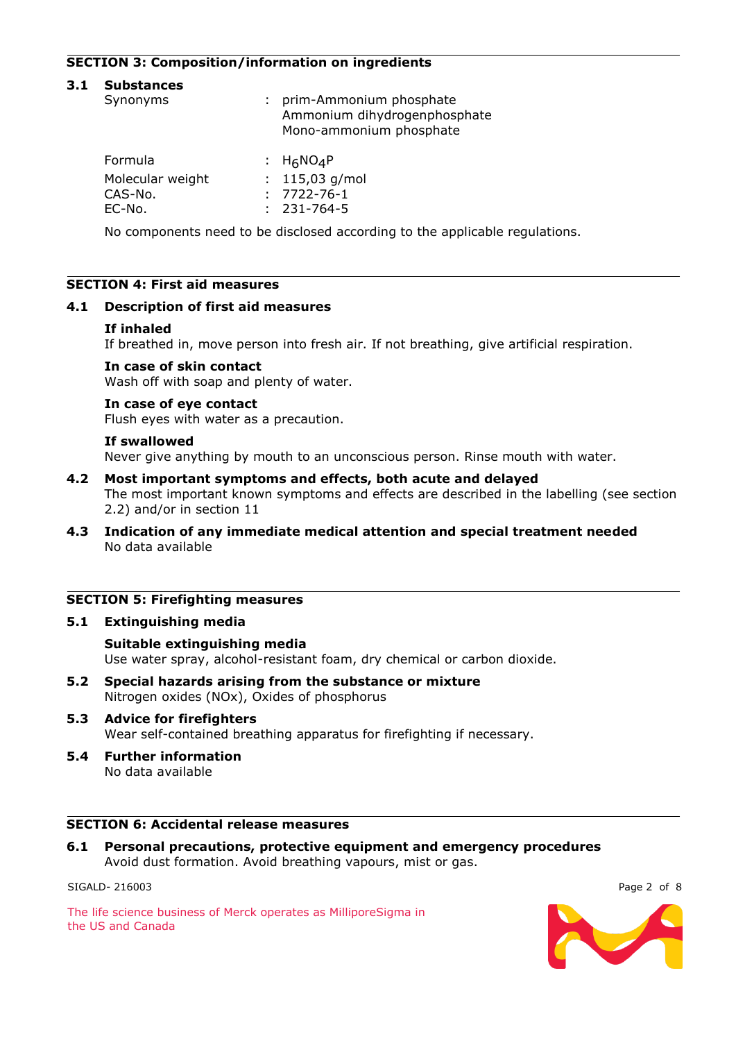# **SECTION 3: Composition/information on ingredients**

#### **3.1 Substances**

| Synonyms         | : prim-Ammonium phosphate<br>Ammonium dihydrogenphosphate<br>Mono-ammonium phosphate |  |
|------------------|--------------------------------------------------------------------------------------|--|
| Formula          | : $H_6NO_4P$                                                                         |  |
| Molecular weight | : $115,03$ g/mol                                                                     |  |
| CAS-No.          | $: 7722 - 76 - 1$                                                                    |  |
| EC-No.           | $: 231 - 764 - 5$                                                                    |  |

No components need to be disclosed according to the applicable regulations.

## **SECTION 4: First aid measures**

## **4.1 Description of first aid measures**

#### **If inhaled**

If breathed in, move person into fresh air. If not breathing, give artificial respiration.

#### **In case of skin contact**

Wash off with soap and plenty of water.

#### **In case of eye contact**

Flush eyes with water as a precaution.

#### **If swallowed**

Never give anything by mouth to an unconscious person. Rinse mouth with water.

- **4.2 Most important symptoms and effects, both acute and delayed** The most important known symptoms and effects are described in the labelling (see section 2.2) and/or in section 11
- **4.3 Indication of any immediate medical attention and special treatment needed** No data available

### **SECTION 5: Firefighting measures**

#### **5.1 Extinguishing media**

#### **Suitable extinguishing media**

Use water spray, alcohol-resistant foam, dry chemical or carbon dioxide.

**5.2 Special hazards arising from the substance or mixture** Nitrogen oxides (NOx), Oxides of phosphorus

# **5.3 Advice for firefighters**

Wear self-contained breathing apparatus for firefighting if necessary.

**5.4 Further information** No data available

# **SECTION 6: Accidental release measures**

**6.1 Personal precautions, protective equipment and emergency procedures** Avoid dust formation. Avoid breathing vapours, mist or gas.

SIGALD-216003 Page 2 of 8

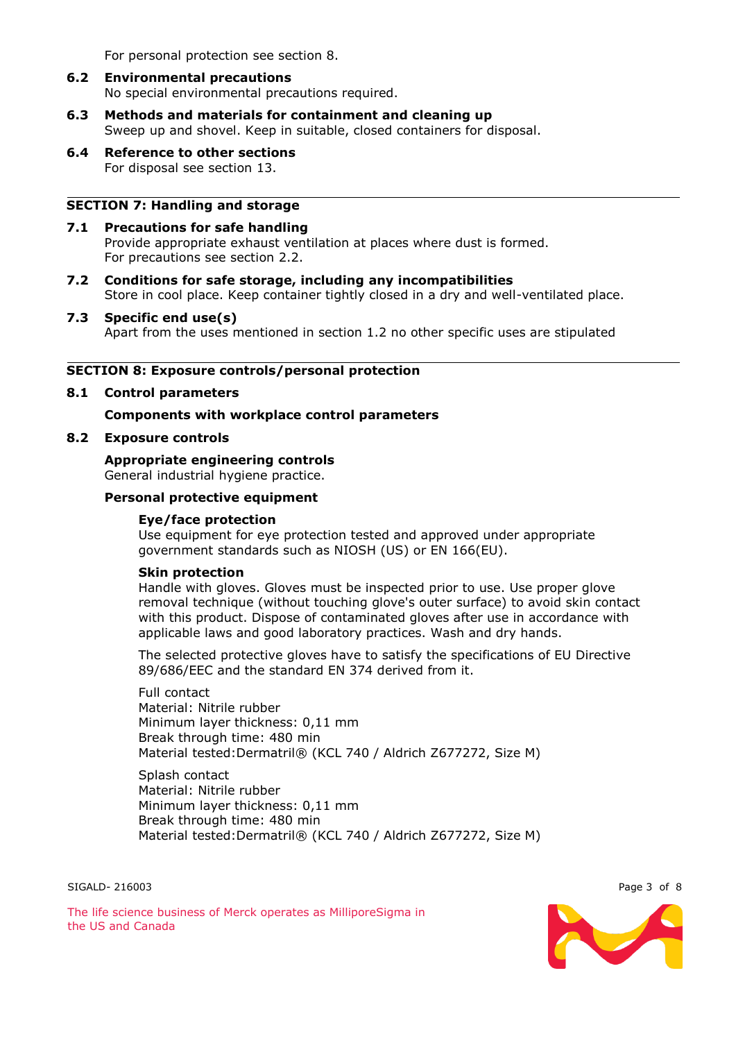For personal protection see section 8.

# **6.2 Environmental precautions** No special environmental precautions required.

- **6.3 Methods and materials for containment and cleaning up** Sweep up and shovel. Keep in suitable, closed containers for disposal.
- **6.4 Reference to other sections** For disposal see section 13.

#### **SECTION 7: Handling and storage**

- **7.1 Precautions for safe handling** Provide appropriate exhaust ventilation at places where dust is formed. For precautions see section 2.2.
- **7.2 Conditions for safe storage, including any incompatibilities** Store in cool place. Keep container tightly closed in a dry and well-ventilated place.
- **7.3 Specific end use(s)** Apart from the uses mentioned in section 1.2 no other specific uses are stipulated

#### **SECTION 8: Exposure controls/personal protection**

**8.1 Control parameters**

#### **Components with workplace control parameters**

## **8.2 Exposure controls**

**Appropriate engineering controls** General industrial hygiene practice.

# **Personal protective equipment**

#### **Eye/face protection**

Use equipment for eye protection tested and approved under appropriate government standards such as NIOSH (US) or EN 166(EU).

#### **Skin protection**

Handle with gloves. Gloves must be inspected prior to use. Use proper glove removal technique (without touching glove's outer surface) to avoid skin contact with this product. Dispose of contaminated gloves after use in accordance with applicable laws and good laboratory practices. Wash and dry hands.

The selected protective gloves have to satisfy the specifications of EU Directive 89/686/EEC and the standard EN 374 derived from it.

Full contact Material: Nitrile rubber Minimum layer thickness: 0,11 mm Break through time: 480 min Material tested:Dermatril® (KCL 740 / Aldrich Z677272, Size M)

Splash contact Material: Nitrile rubber Minimum layer thickness: 0,11 mm Break through time: 480 min Material tested:Dermatril® (KCL 740 / Aldrich Z677272, Size M)

SIGALD- 216003 Page 3 of 8



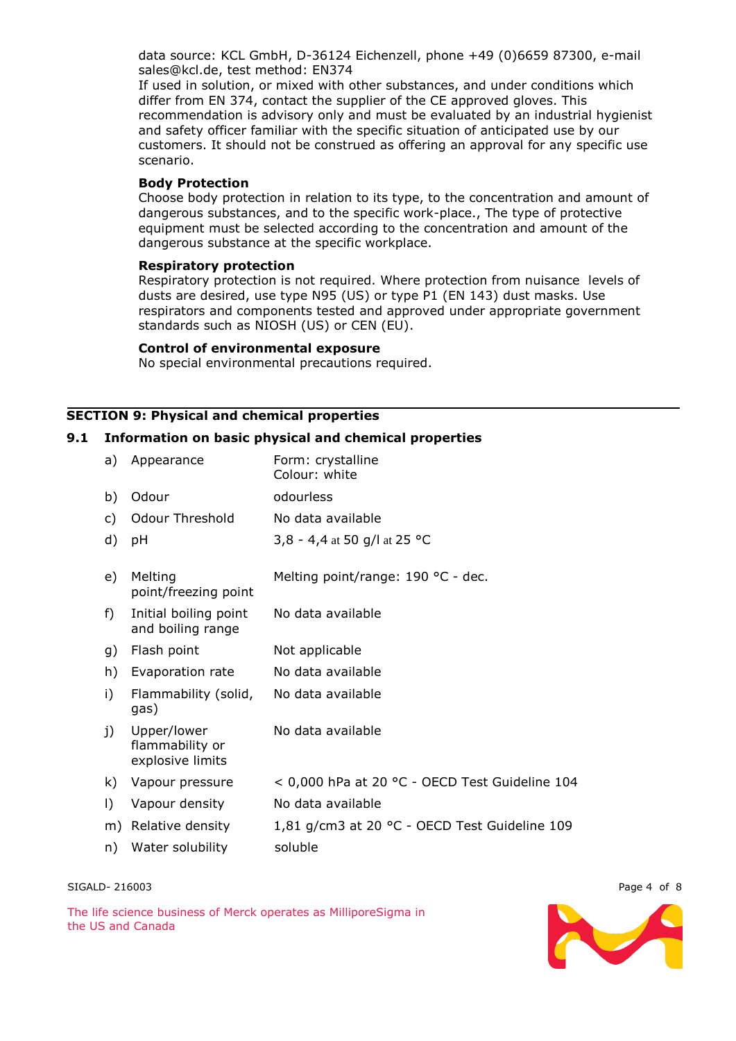data source: KCL GmbH, D-36124 Eichenzell, phone +49 (0)6659 87300, e-mail sales@kcl.de, test method: EN374

If used in solution, or mixed with other substances, and under conditions which differ from EN 374, contact the supplier of the CE approved gloves. This recommendation is advisory only and must be evaluated by an industrial hygienist and safety officer familiar with the specific situation of anticipated use by our customers. It should not be construed as offering an approval for any specific use scenario.

### **Body Protection**

Choose body protection in relation to its type, to the concentration and amount of dangerous substances, and to the specific work-place., The type of protective equipment must be selected according to the concentration and amount of the dangerous substance at the specific workplace.

#### **Respiratory protection**

Respiratory protection is not required. Where protection from nuisance levels of dusts are desired, use type N95 (US) or type P1 (EN 143) dust masks. Use respirators and components tested and approved under appropriate government standards such as NIOSH (US) or CEN (EU).

#### **Control of environmental exposure**

No special environmental precautions required.

# **SECTION 9: Physical and chemical properties**

### **9.1 Information on basic physical and chemical properties**

| a)      | Appearance                                         | Form: crystalline<br>Colour: white             |
|---------|----------------------------------------------------|------------------------------------------------|
| b)      | Odour                                              | odourless                                      |
| c)      | <b>Odour Threshold</b>                             | No data available                              |
| d)      | pH                                                 | 3,8 - 4,4 at 50 g/l at 25 °C                   |
| e)      | Melting<br>point/freezing point                    | Melting point/range: 190 °C - dec.             |
| f)      | Initial boiling point<br>and boiling range         | No data available                              |
| g)      | Flash point                                        | Not applicable                                 |
| h)      | Evaporation rate                                   | No data available                              |
| i)      | Flammability (solid,<br>gas)                       | No data available                              |
| j)      | Upper/lower<br>flammability or<br>explosive limits | No data available                              |
| k)      | Vapour pressure                                    | < 0,000 hPa at 20 °C - OECD Test Guideline 104 |
| $\vert$ | Vapour density                                     | No data available                              |
| m)      | Relative density                                   | 1,81 g/cm3 at 20 °C - OECD Test Guideline 109  |
| n)      | Water solubility                                   | soluble                                        |

SIGALD- 216003 Page 4 of 8

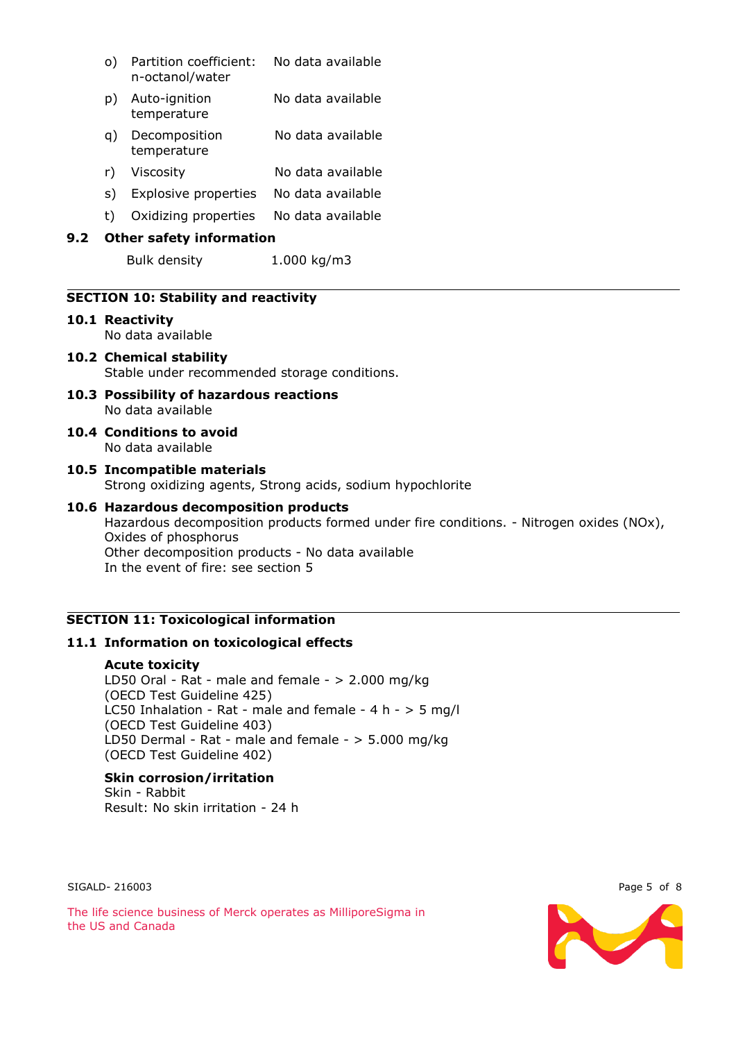|     | O)                              | Partition coefficient:<br>n-octanol/water | No data available |  |
|-----|---------------------------------|-------------------------------------------|-------------------|--|
|     | D)                              | Auto-ignition<br>temperature              | No data available |  |
|     | a)                              | Decomposition<br>temperature              | No data available |  |
|     | r)                              | Viscosity                                 | No data available |  |
|     | s)                              | Explosive properties                      | No data available |  |
|     | t)                              | Oxidizing properties                      | No data available |  |
| 9.2 | <b>Other safety information</b> |                                           |                   |  |
|     |                                 | Bulk density                              | 1.000 kg/m3       |  |

### **SECTION 10: Stability and reactivity**

**10.1 Reactivity**

No data available

## **10.2 Chemical stability** Stable under recommended storage conditions.

- **10.3 Possibility of hazardous reactions** No data available
- **10.4 Conditions to avoid** No data available

#### **10.5 Incompatible materials** Strong oxidizing agents, Strong acids, sodium hypochlorite

### **10.6 Hazardous decomposition products**

Hazardous decomposition products formed under fire conditions. - Nitrogen oxides (NOx), Oxides of phosphorus Other decomposition products - No data available In the event of fire: see section 5

### **SECTION 11: Toxicological information**

## **11.1 Information on toxicological effects**

#### **Acute toxicity**

LD50 Oral - Rat - male and female -  $> 2.000$  mg/kg (OECD Test Guideline 425) LC50 Inhalation - Rat - male and female -  $4 h - 5 mg/l$ (OECD Test Guideline 403) LD50 Dermal - Rat - male and female - > 5.000 mg/kg (OECD Test Guideline 402)

# **Skin corrosion/irritation**

Skin - Rabbit Result: No skin irritation - 24 h

SIGALD-216003 Page 5 of 8



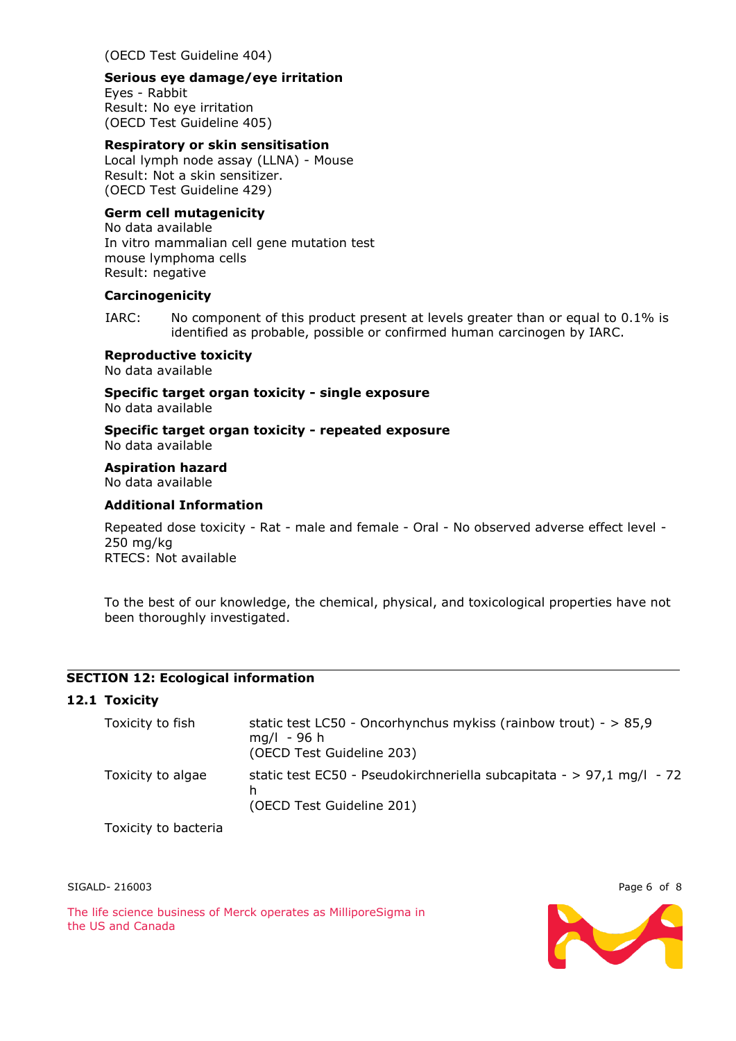(OECD Test Guideline 404)

#### **Serious eye damage/eye irritation**

Eyes - Rabbit Result: No eye irritation (OECD Test Guideline 405)

## **Respiratory or skin sensitisation**

Local lymph node assay (LLNA) - Mouse Result: Not a skin sensitizer. (OECD Test Guideline 429)

### **Germ cell mutagenicity**

No data available In vitro mammalian cell gene mutation test mouse lymphoma cells Result: negative

#### **Carcinogenicity**

IARC: No component of this product present at levels greater than or equal to 0.1% is identified as probable, possible or confirmed human carcinogen by IARC.

#### **Reproductive toxicity**

No data available

**Specific target organ toxicity - single exposure** No data available

**Specific target organ toxicity - repeated exposure** No data available

**Aspiration hazard**

No data available

### **Additional Information**

Repeated dose toxicity - Rat - male and female - Oral - No observed adverse effect level - 250 mg/kg RTECS: Not available

To the best of our knowledge, the chemical, physical, and toxicological properties have not been thoroughly investigated.

## **SECTION 12: Ecological information**

### **12.1 Toxicity**

| Toxicity to fish  | static test LC50 - Oncorhynchus mykiss (rainbow trout) - $> 85.9$<br>$mq/l - 96 h$<br>(OECD Test Guideline 203) |
|-------------------|-----------------------------------------------------------------------------------------------------------------|
| Toxicity to algae | static test EC50 - Pseudokirchneriella subcapitata - > 97,1 mg/l - 72<br>(OECD Test Guideline 201)              |

Toxicity to bacteria



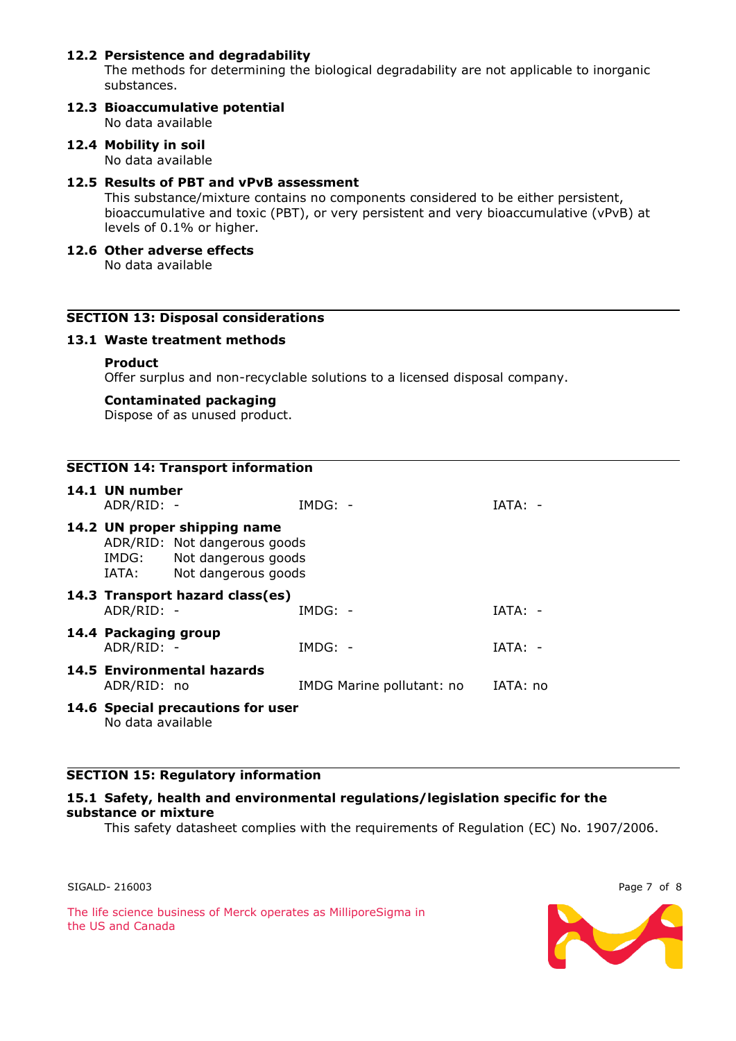## **12.2 Persistence and degradability**

The methods for determining the biological degradability are not applicable to inorganic substances.

- **12.3 Bioaccumulative potential** No data available
- **12.4 Mobility in soil** No data available

#### **12.5 Results of PBT and vPvB assessment**

This substance/mixture contains no components considered to be either persistent, bioaccumulative and toxic (PBT), or very persistent and very bioaccumulative (vPvB) at levels of 0.1% or higher.

**12.6 Other adverse effects**

No data available

### **SECTION 13: Disposal considerations**

#### **13.1 Waste treatment methods**

#### **Product**

Offer surplus and non-recyclable solutions to a licensed disposal company.

#### **Contaminated packaging**

Dispose of as unused product.

| <b>SECTION 14: Transport information</b> |                                                                                                                              |                                   |           |                           |           |  |
|------------------------------------------|------------------------------------------------------------------------------------------------------------------------------|-----------------------------------|-----------|---------------------------|-----------|--|
|                                          | 14.1 UN number<br>ADR/RID: -                                                                                                 |                                   | $IMDG: -$ |                           | $IATA: -$ |  |
|                                          | 14.2 UN proper shipping name<br>ADR/RID: Not dangerous goods<br>Not dangerous goods<br>IMDG:<br>Not dangerous goods<br>IATA: |                                   |           |                           |           |  |
|                                          | ADR/RID: -                                                                                                                   | 14.3 Transport hazard class(es)   | $IMDG: -$ |                           | $IATA: -$ |  |
|                                          | 14.4 Packaging group<br>ADR/RID: -                                                                                           |                                   | $IMDG: -$ |                           | $IATA: -$ |  |
|                                          | ADR/RID: no                                                                                                                  | 14.5 Environmental hazards        |           | IMDG Marine pollutant: no | IATA: no  |  |
|                                          | No data available                                                                                                            | 14.6 Special precautions for user |           |                           |           |  |

#### **SECTION 15: Regulatory information**

#### **15.1 Safety, health and environmental regulations/legislation specific for the substance or mixture**

This safety datasheet complies with the requirements of Regulation (EC) No. 1907/2006.